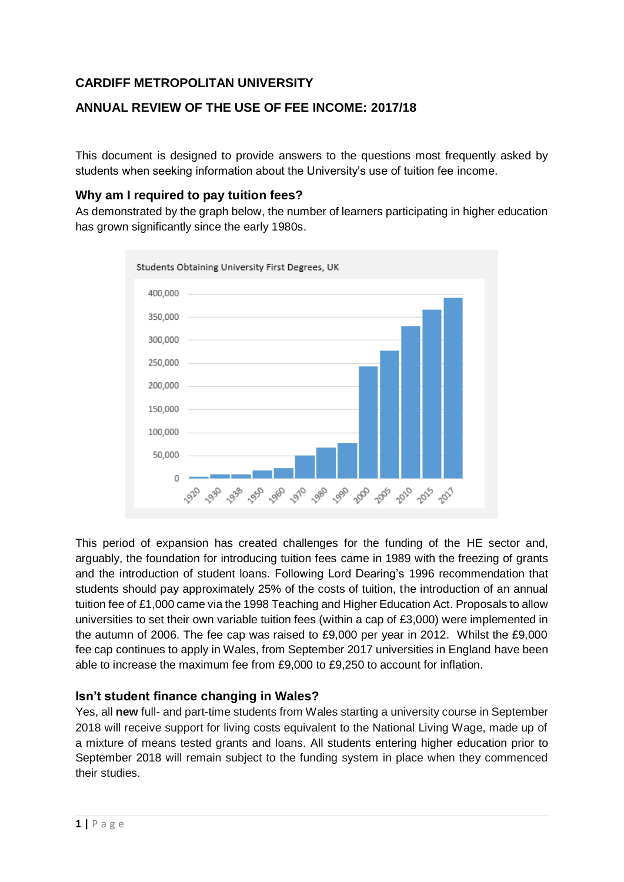# **CARDIFF METROPOLITAN UNIVERSITY**

### **ANNUAL REVIEW OF THE USE OF FEE INCOME: 2017/18**

This document is designed to provide answers to the questions most frequently asked by students when seeking information about the University's use of tuition fee income.

### **Why am I required to pay tuition fees?**

As demonstrated by the graph below, the number of learners participating in higher education has grown significantly since the early 1980s.



This period of expansion has created challenges for the funding of the HE sector and, arguably, the foundation for introducing tuition fees came in 1989 with the freezing of grants and the introduction of student loans. Following Lord Dearing's 1996 recommendation that students should pay approximately 25% of the costs of tuition, the introduction of an annual tuition fee of £1,000 came via the 1998 Teaching and Higher Education Act. Proposals to allow universities to set their own variable tuition fees (within a cap of £3,000) were implemented in the autumn of 2006. The fee cap was raised to £9,000 per year in 2012. Whilst the £9,000 fee cap continues to apply in Wales, from September 2017 universities in England have been able to increase the maximum fee from £9,000 to £9,250 to account for inflation.

#### **Isn't student finance changing in Wales?**

Yes, all **new** full- and part-time students from Wales starting a university course in September 2018 will receive support for living costs equivalent to the National Living Wage, made up of a mixture of means tested grants and loans. All students entering higher education prior to September 2018 will remain subject to the funding system in place when they commenced their studies.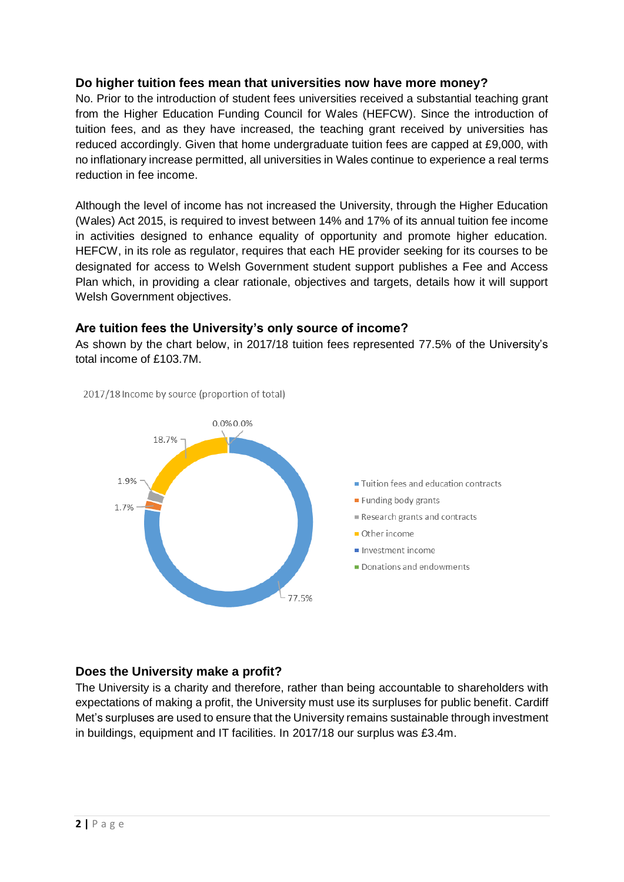#### **Do higher tuition fees mean that universities now have more money?**

No. Prior to the introduction of student fees universities received a substantial teaching grant from the Higher Education Funding Council for Wales (HEFCW). Since the introduction of tuition fees, and as they have increased, the teaching grant received by universities has reduced accordingly. Given that home undergraduate tuition fees are capped at £9,000, with no inflationary increase permitted, all universities in Wales continue to experience a real terms reduction in fee income.

Although the level of income has not increased the University, through the Higher Education (Wales) Act 2015, is required to invest between 14% and 17% of its annual tuition fee income in activities designed to enhance equality of opportunity and promote higher education. HEFCW, in its role as regulator, requires that each HE provider seeking for its courses to be designated for access to Welsh Government student support publishes a Fee and Access Plan which, in providing a clear rationale, objectives and targets, details how it will support Welsh Government objectives.

#### **Are tuition fees the University's only source of income?**

As shown by the chart below, in 2017/18 tuition fees represented 77.5% of the University's total income of £103.7M.

2017/18 Income by source (proportion of total)



#### **Does the University make a profit?**

The University is a charity and therefore, rather than being accountable to shareholders with expectations of making a profit, the University must use its surpluses for public benefit. Cardiff Met's surpluses are used to ensure that the University remains sustainable through investment in buildings, equipment and IT facilities. In 2017/18 our surplus was £3.4m.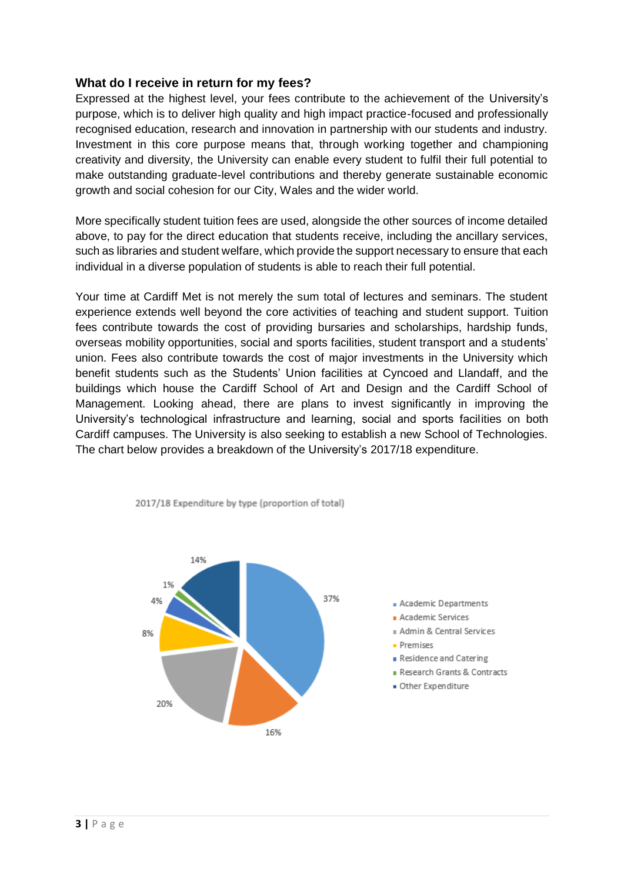#### **What do I receive in return for my fees?**

Expressed at the highest level, your fees contribute to the achievement of the University's purpose, which is to deliver high quality and high impact practice-focused and professionally recognised education, research and innovation in partnership with our students and industry. Investment in this core purpose means that, through working together and championing creativity and diversity, the University can enable every student to fulfil their full potential to make outstanding graduate-level contributions and thereby generate sustainable economic growth and social cohesion for our City, Wales and the wider world.

More specifically student tuition fees are used, alongside the other sources of income detailed above, to pay for the direct education that students receive, including the ancillary services, such as libraries and student welfare, which provide the support necessary to ensure that each individual in a diverse population of students is able to reach their full potential.

Your time at Cardiff Met is not merely the sum total of lectures and seminars. The student experience extends well beyond the core activities of teaching and student support. Tuition fees contribute towards the cost of providing bursaries and scholarships, hardship funds, overseas mobility opportunities, social and sports facilities, student transport and a students' union. Fees also contribute towards the cost of major investments in the University which benefit students such as the Students' Union facilities at Cyncoed and Llandaff, and the buildings which house the Cardiff School of Art and Design and the Cardiff School of Management. Looking ahead, there are plans to invest significantly in improving the University's technological infrastructure and learning, social and sports facilities on both Cardiff campuses. The University is also seeking to establish a new School of Technologies. The chart below provides a breakdown of the University's 2017/18 expenditure.



2017/18 Expenditure by type (proportion of total)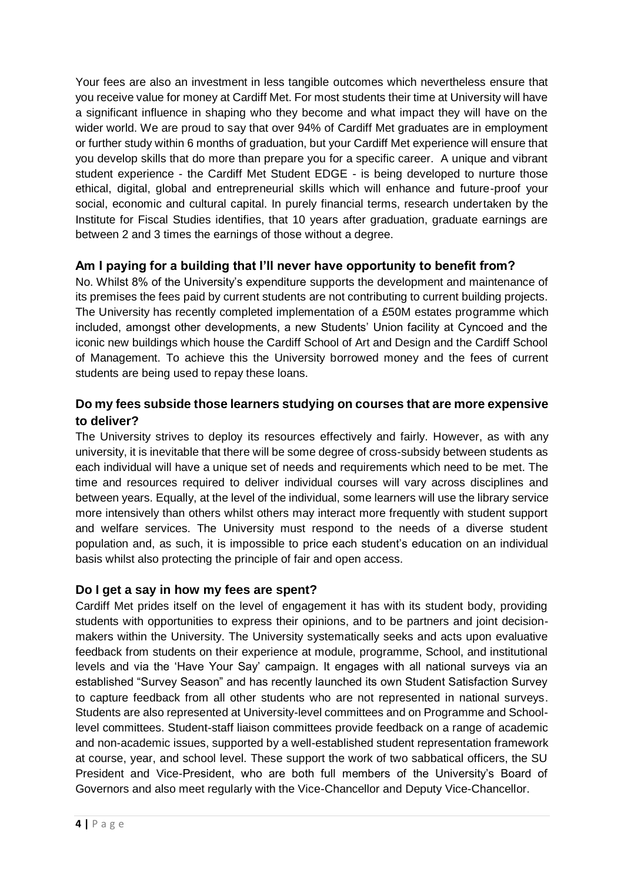Your fees are also an investment in less tangible outcomes which nevertheless ensure that you receive value for money at Cardiff Met. For most students their time at University will have a significant influence in shaping who they become and what impact they will have on the wider world. We are proud to say that over 94% of Cardiff Met graduates are in employment or further study within 6 months of graduation, but your Cardiff Met experience will ensure that you develop skills that do more than prepare you for a specific career. A unique and vibrant student experience - the Cardiff Met Student EDGE - is being developed to nurture those ethical, digital, global and entrepreneurial skills which will enhance and future-proof your social, economic and cultural capital. In purely financial terms, research undertaken by the Institute for Fiscal Studies identifies, that 10 years after graduation, graduate earnings are between 2 and 3 times the earnings of those without a degree.

# **Am I paying for a building that I'll never have opportunity to benefit from?**

No. Whilst 8% of the University's expenditure supports the development and maintenance of its premises the fees paid by current students are not contributing to current building projects. The University has recently completed implementation of a £50M estates programme which included, amongst other developments, a new Students' Union facility at Cyncoed and the iconic new buildings which house the Cardiff School of Art and Design and the Cardiff School of Management. To achieve this the University borrowed money and the fees of current students are being used to repay these loans.

# **Do my fees subside those learners studying on courses that are more expensive to deliver?**

The University strives to deploy its resources effectively and fairly. However, as with any university, it is inevitable that there will be some degree of cross-subsidy between students as each individual will have a unique set of needs and requirements which need to be met. The time and resources required to deliver individual courses will vary across disciplines and between years. Equally, at the level of the individual, some learners will use the library service more intensively than others whilst others may interact more frequently with student support and welfare services. The University must respond to the needs of a diverse student population and, as such, it is impossible to price each student's education on an individual basis whilst also protecting the principle of fair and open access.

### **Do I get a say in how my fees are spent?**

Cardiff Met prides itself on the level of engagement it has with its student body, providing students with opportunities to express their opinions, and to be partners and joint decisionmakers within the University. The University systematically seeks and acts upon evaluative feedback from students on their experience at module, programme, School, and institutional levels and via the 'Have Your Say' campaign. It engages with all national surveys via an established "Survey Season" and has recently launched its own Student Satisfaction Survey to capture feedback from all other students who are not represented in national surveys. Students are also represented at University-level committees and on Programme and Schoollevel committees. Student-staff liaison committees provide feedback on a range of academic and non-academic issues, supported by a well-established student representation framework at course, year, and school level. These support the work of two sabbatical officers, the SU President and Vice-President, who are both full members of the University's Board of Governors and also meet regularly with the Vice-Chancellor and Deputy Vice-Chancellor.